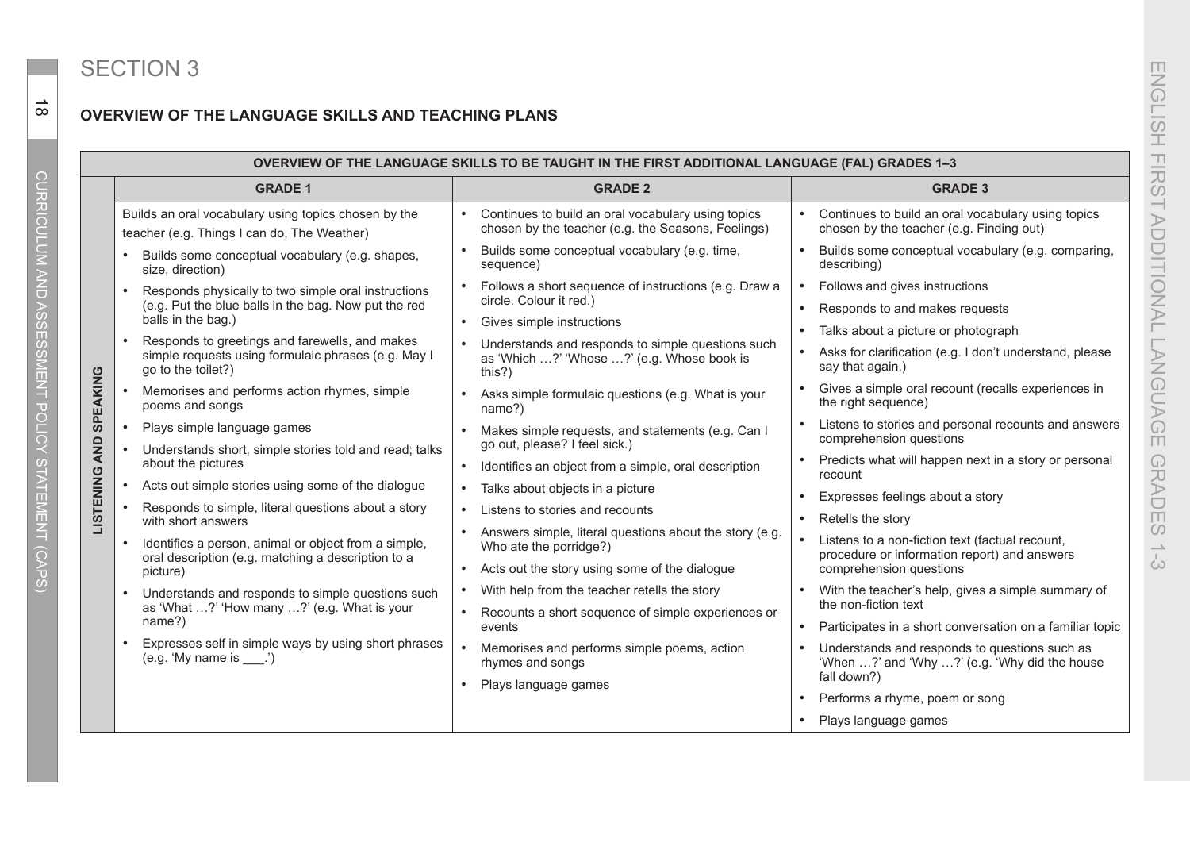## **OVERVIEW OF THE LANGUAGE SKILLS AND TEACHING PLANS**

| OVERVIEW OF THE LANGUAGE SKILLS TO BE TAUGHT IN THE FIRST ADDITIONAL LANGUAGE (FAL) GRADES 1-3 |                                                                                                                                                                                                                                                                  |                                                   |                                                                                                           |           |                                                                                                |  |  |
|------------------------------------------------------------------------------------------------|------------------------------------------------------------------------------------------------------------------------------------------------------------------------------------------------------------------------------------------------------------------|---------------------------------------------------|-----------------------------------------------------------------------------------------------------------|-----------|------------------------------------------------------------------------------------------------|--|--|
|                                                                                                | <b>GRADE 1</b>                                                                                                                                                                                                                                                   | <b>GRADE 2</b>                                    |                                                                                                           |           | <b>GRADE 3</b>                                                                                 |  |  |
|                                                                                                | Builds an oral vocabulary using topics chosen by the<br>teacher (e.g. Things I can do, The Weather)                                                                                                                                                              |                                                   | Continues to build an oral vocabulary using topics<br>chosen by the teacher (e.g. the Seasons, Feelings)  |           | Continues to build an oral vocabulary using topics<br>chosen by the teacher (e.g. Finding out) |  |  |
|                                                                                                | Builds some conceptual vocabulary (e.g. shapes,<br>size, direction)                                                                                                                                                                                              |                                                   | Builds some conceptual vocabulary (e.g. time,<br>sequence)                                                |           | Builds some conceptual vocabulary (e.g. comparing,<br>describing)                              |  |  |
|                                                                                                | Responds physically to two simple oral instructions<br>(e.g. Put the blue balls in the bag. Now put the red<br>balls in the bag.)<br>Responds to greetings and farewells, and makes<br>simple requests using formulaic phrases (e.g. May I<br>go to the toilet?) | $\bullet$                                         | Follows a short sequence of instructions (e.g. Draw a<br>circle. Colour it red.)                          |           | Follows and gives instructions                                                                 |  |  |
|                                                                                                |                                                                                                                                                                                                                                                                  |                                                   |                                                                                                           |           | Responds to and makes requests                                                                 |  |  |
|                                                                                                |                                                                                                                                                                                                                                                                  |                                                   | Gives simple instructions                                                                                 |           | Talks about a picture or photograph                                                            |  |  |
|                                                                                                |                                                                                                                                                                                                                                                                  |                                                   | Understands and responds to simple questions such<br>as 'Which ?' 'Whose ?' (e.g. Whose book is<br>this?) |           | Asks for clarification (e.g. I don't understand, please<br>say that again.)                    |  |  |
| <b>SPEAKING</b>                                                                                | Memorises and performs action rhymes, simple<br>poems and songs                                                                                                                                                                                                  |                                                   | Asks simple formulaic questions (e.g. What is your<br>name?)                                              | $\bullet$ | Gives a simple oral recount (recalls experiences in<br>the right sequence)                     |  |  |
|                                                                                                | Plays simple language games                                                                                                                                                                                                                                      | Makes simple requests, and statements (e.g. Can I |                                                                                                           |           | Listens to stories and personal recounts and answers<br>comprehension questions                |  |  |
|                                                                                                | Understands short, simple stories told and read; talks<br>about the pictures                                                                                                                                                                                     |                                                   | go out, please? I feel sick.)                                                                             |           |                                                                                                |  |  |
|                                                                                                |                                                                                                                                                                                                                                                                  |                                                   | Identifies an object from a simple, oral description                                                      |           | Predicts what will happen next in a story or personal<br>recount                               |  |  |
|                                                                                                | Acts out simple stories using some of the dialogue                                                                                                                                                                                                               |                                                   | Talks about objects in a picture                                                                          |           | Expresses feelings about a story                                                               |  |  |
| LISTENING AND                                                                                  | Responds to simple, literal questions about a story<br>with short answers                                                                                                                                                                                        | $\bullet$                                         | Listens to stories and recounts                                                                           |           | Retells the story                                                                              |  |  |
|                                                                                                | Identifies a person, animal or object from a simple,                                                                                                                                                                                                             |                                                   | Answers simple, literal questions about the story (e.g.                                                   |           | Listens to a non-fiction text (factual recount,                                                |  |  |
|                                                                                                | oral description (e.g. matching a description to a<br>picture)                                                                                                                                                                                                   |                                                   | Who ate the porridge?)                                                                                    |           | procedure or information report) and answers                                                   |  |  |
|                                                                                                |                                                                                                                                                                                                                                                                  |                                                   | Acts out the story using some of the dialogue                                                             |           | comprehension questions                                                                        |  |  |
|                                                                                                | Understands and responds to simple questions such<br>as 'What ?' 'How many ?' (e.g. What is your<br>name?)                                                                                                                                                       |                                                   | With help from the teacher retells the story                                                              |           | With the teacher's help, gives a simple summary of<br>the non-fiction text                     |  |  |
|                                                                                                |                                                                                                                                                                                                                                                                  |                                                   | Recounts a short sequence of simple experiences or<br>events                                              |           | Participates in a short conversation on a familiar topic                                       |  |  |
|                                                                                                | Expresses self in simple ways by using short phrases                                                                                                                                                                                                             |                                                   | Memorises and performs simple poems, action                                                               |           | Understands and responds to questions such as                                                  |  |  |
|                                                                                                | (e.g. 'My name is '')                                                                                                                                                                                                                                            |                                                   | rhymes and songs                                                                                          |           | 'When ?' and 'Why ?' (e.g. 'Why did the house<br>fall down?)                                   |  |  |
|                                                                                                |                                                                                                                                                                                                                                                                  |                                                   | Plays language games                                                                                      |           | Performs a rhyme, poem or song                                                                 |  |  |
|                                                                                                |                                                                                                                                                                                                                                                                  |                                                   |                                                                                                           |           | Plays language games                                                                           |  |  |
|                                                                                                |                                                                                                                                                                                                                                                                  |                                                   |                                                                                                           |           |                                                                                                |  |  |

 $\overline{C}$ г C

Ō  $\beta$ 

 $\stackrel{\rightharpoonup}{\infty}$ 

**CURRIC** 

г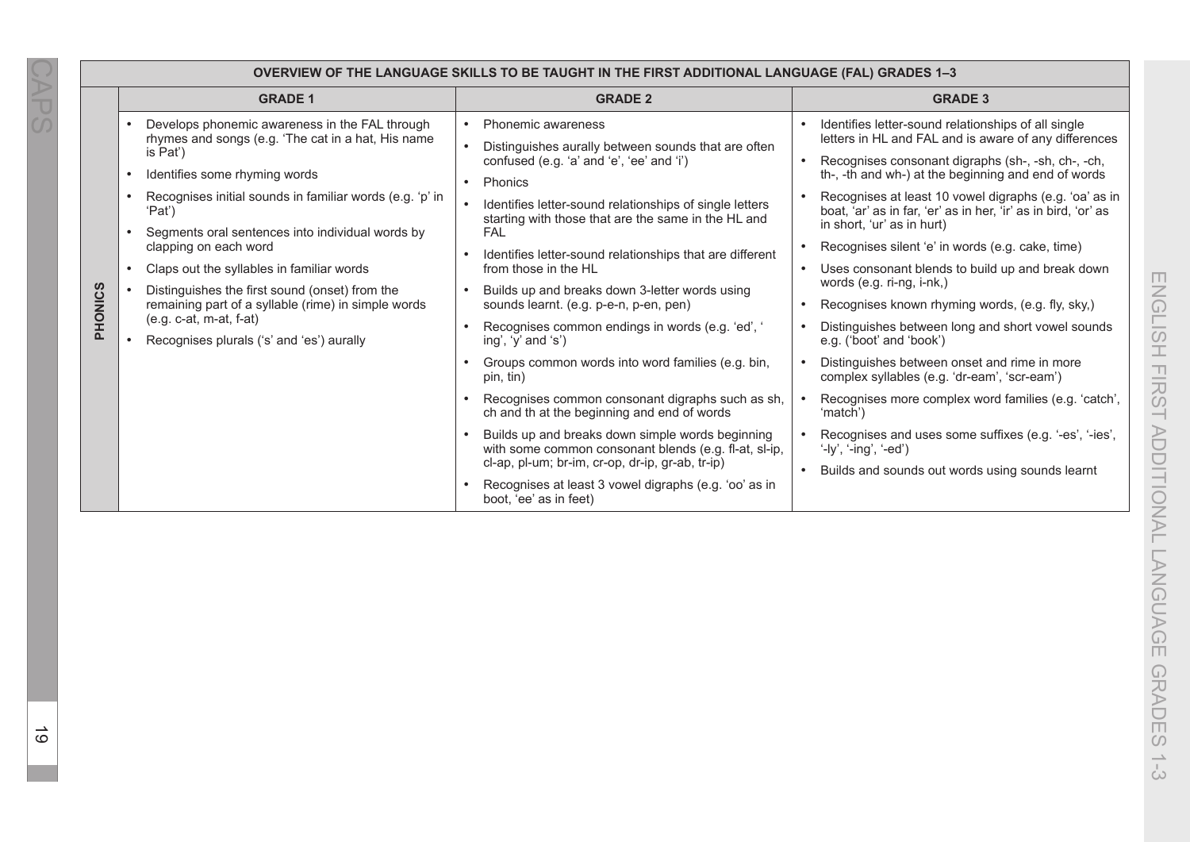|               | OVERVIEW OF THE LANGUAGE SKILLS TO BE TAUGHT IN THE FIRST ADDITIONAL LANGUAGE (FAL) GRADES 1-3 |                        |                                                                                                                                                                                                                                                                                                                                                                                                                              |                                                  |                                                                                                                                                                                                                                                                                                                                                                                                                                                                                                                                                                                                                                                                                                                                                                                                                                             |                                                                            |                                                                                                                                                                                                                                                                                                                                                                                                                                                                                                                                                                                                                                                                                                                                                                                                                                                            |
|---------------|------------------------------------------------------------------------------------------------|------------------------|------------------------------------------------------------------------------------------------------------------------------------------------------------------------------------------------------------------------------------------------------------------------------------------------------------------------------------------------------------------------------------------------------------------------------|--------------------------------------------------|---------------------------------------------------------------------------------------------------------------------------------------------------------------------------------------------------------------------------------------------------------------------------------------------------------------------------------------------------------------------------------------------------------------------------------------------------------------------------------------------------------------------------------------------------------------------------------------------------------------------------------------------------------------------------------------------------------------------------------------------------------------------------------------------------------------------------------------------|----------------------------------------------------------------------------|------------------------------------------------------------------------------------------------------------------------------------------------------------------------------------------------------------------------------------------------------------------------------------------------------------------------------------------------------------------------------------------------------------------------------------------------------------------------------------------------------------------------------------------------------------------------------------------------------------------------------------------------------------------------------------------------------------------------------------------------------------------------------------------------------------------------------------------------------------|
|               |                                                                                                |                        | <b>GRADE 1</b>                                                                                                                                                                                                                                                                                                                                                                                                               |                                                  | <b>GRADE 2</b>                                                                                                                                                                                                                                                                                                                                                                                                                                                                                                                                                                                                                                                                                                                                                                                                                              |                                                                            | <b>GRADE 3</b>                                                                                                                                                                                                                                                                                                                                                                                                                                                                                                                                                                                                                                                                                                                                                                                                                                             |
|               |                                                                                                |                        | Develops phonemic awareness in the FAL through<br>rhymes and songs (e.g. 'The cat in a hat, His name                                                                                                                                                                                                                                                                                                                         |                                                  | Phonemic awareness                                                                                                                                                                                                                                                                                                                                                                                                                                                                                                                                                                                                                                                                                                                                                                                                                          |                                                                            | Identifies letter-sound relationships of all single<br>letters in HL and FAL and is aware of any differences                                                                                                                                                                                                                                                                                                                                                                                                                                                                                                                                                                                                                                                                                                                                               |
|               | PHONICS                                                                                        | $\bullet$<br>$\bullet$ | is Pat')<br>Identifies some rhyming words<br>Recognises initial sounds in familiar words (e.g. 'p' in<br>'Pat')<br>Segments oral sentences into individual words by<br>clapping on each word<br>Claps out the syllables in familiar words<br>Distinguishes the first sound (onset) from the<br>remaining part of a syllable (rime) in simple words<br>$(e.g. c-at, m-at, f-at)$<br>Recognises plurals ('s' and 'es') aurally | $\bullet$<br>$\bullet$<br>$\bullet$<br>$\bullet$ | Distinguishes aurally between sounds that are often<br>confused (e.g. 'a' and 'e', 'ee' and 'i')<br>Phonics<br>Identifies letter-sound relationships of single letters<br>starting with those that are the same in the HL and<br><b>FAL</b><br>Identifies letter-sound relationships that are different<br>from those in the HL<br>Builds up and breaks down 3-letter words using<br>sounds learnt. (e.g. p-e-n, p-en, pen)<br>Recognises common endings in words (e.g. 'ed', '<br>ing', 'y' and 's')<br>Groups common words into word families (e.g. bin,<br>pin, tin)<br>Recognises common consonant digraphs such as sh,<br>ch and th at the beginning and end of words<br>Builds up and breaks down simple words beginning<br>with some common consonant blends (e.g. fl-at, sl-ip,<br>cl-ap, pl-um; br-im, cr-op, dr-ip, gr-ab, tr-ip) | $\bullet$<br>$\bullet$<br>$\bullet$<br>$\bullet$<br>$\bullet$<br>$\bullet$ | Recognises consonant digraphs (sh-, -sh, ch-, -ch,<br>th-, -th and wh-) at the beginning and end of words<br>Recognises at least 10 vowel digraphs (e.g. 'oa' as in<br>boat, 'ar' as in far, 'er' as in her, 'ir' as in bird, 'or' as<br>in short, 'ur' as in hurt)<br>Recognises silent 'e' in words (e.g. cake, time)<br>Uses consonant blends to build up and break down<br>words (e.g. ri-ng, i-nk,)<br>Recognises known rhyming words, (e.g. fly, sky,)<br>Distinguishes between long and short vowel sounds<br>e.g. ('boot' and 'book')<br>Distinguishes between onset and rime in more<br>complex syllables (e.g. 'dr-eam', 'scr-eam')<br>Recognises more complex word families (e.g. 'catch',<br>'match')<br>Recognises and uses some suffixes (e.g. '-es', '-ies',<br>$'$ -ly', '-ing', '-ed')<br>Builds and sounds out words using sounds learnt |
|               |                                                                                                |                        |                                                                                                                                                                                                                                                                                                                                                                                                                              | $\bullet$                                        | Recognises at least 3 vowel digraphs (e.g. 'oo' as in<br>boot, 'ee' as in feet)                                                                                                                                                                                                                                                                                                                                                                                                                                                                                                                                                                                                                                                                                                                                                             |                                                                            |                                                                                                                                                                                                                                                                                                                                                                                                                                                                                                                                                                                                                                                                                                                                                                                                                                                            |
| ∸<br>$\Omega$ |                                                                                                |                        |                                                                                                                                                                                                                                                                                                                                                                                                                              |                                                  |                                                                                                                                                                                                                                                                                                                                                                                                                                                                                                                                                                                                                                                                                                                                                                                                                                             |                                                                            |                                                                                                                                                                                                                                                                                                                                                                                                                                                                                                                                                                                                                                                                                                                                                                                                                                                            |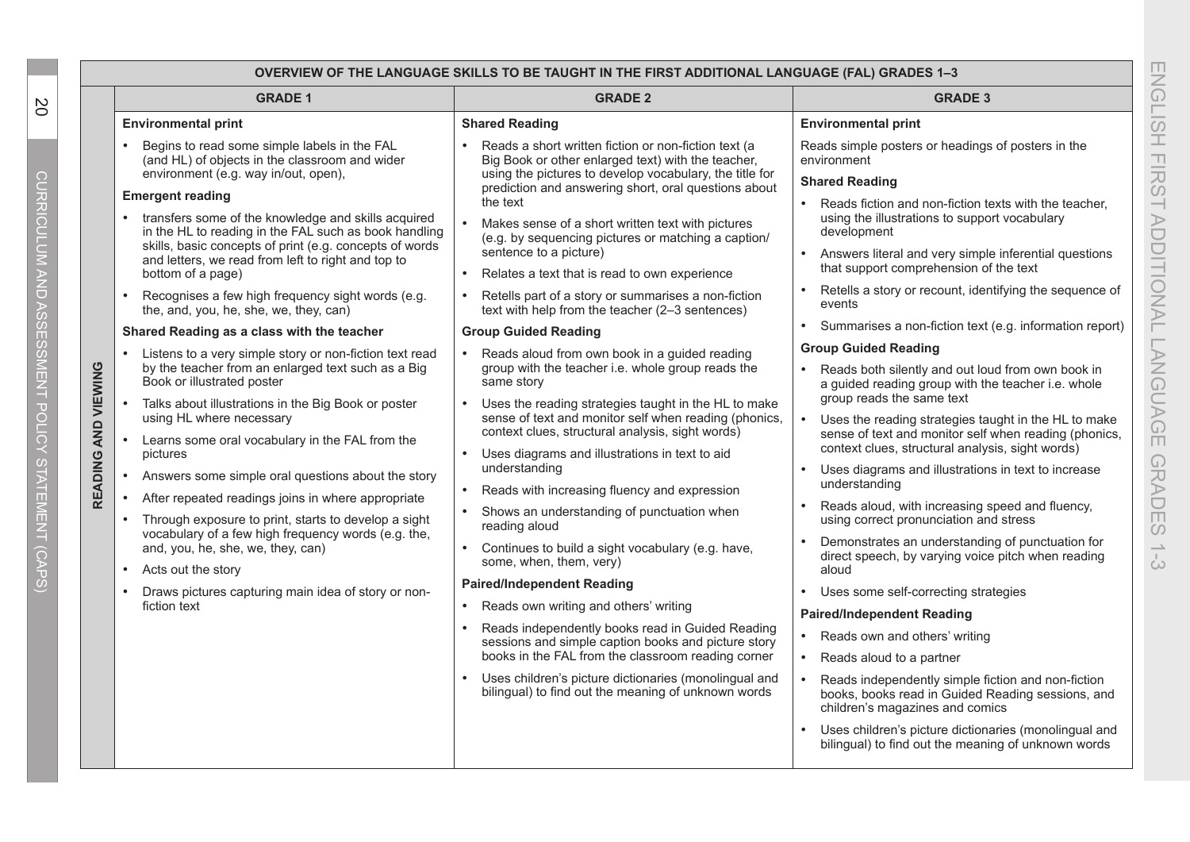| OVERVIEW OF THE LANGUAGE SKILLS TO BE TAUGHT IN THE FIRST ADDITIONAL LANGUAGE (FAL) GRADES 1-3 |                                                                                                                                                                                                                                                    |                                                                                                                                                                                |                                                                                                                                            |  |  |  |  |  |
|------------------------------------------------------------------------------------------------|----------------------------------------------------------------------------------------------------------------------------------------------------------------------------------------------------------------------------------------------------|--------------------------------------------------------------------------------------------------------------------------------------------------------------------------------|--------------------------------------------------------------------------------------------------------------------------------------------|--|--|--|--|--|
|                                                                                                | <b>GRADE 1</b>                                                                                                                                                                                                                                     | <b>GRADE 2</b>                                                                                                                                                                 | <b>GRADE 3</b>                                                                                                                             |  |  |  |  |  |
|                                                                                                | <b>Environmental print</b>                                                                                                                                                                                                                         | <b>Shared Reading</b>                                                                                                                                                          | <b>Environmental print</b>                                                                                                                 |  |  |  |  |  |
|                                                                                                | Begins to read some simple labels in the FAL<br>(and HL) of objects in the classroom and wider<br>environment (e.g. way in/out, open),                                                                                                             | Reads a short written fiction or non-fiction text (a<br>Big Book or other enlarged text) with the teacher,<br>using the pictures to develop vocabulary, the title for          | Reads simple posters or headings of posters in the<br>environment                                                                          |  |  |  |  |  |
|                                                                                                | <b>Emergent reading</b>                                                                                                                                                                                                                            | prediction and answering short, oral questions about                                                                                                                           | <b>Shared Reading</b>                                                                                                                      |  |  |  |  |  |
|                                                                                                | transfers some of the knowledge and skills acquired<br>in the HL to reading in the FAL such as book handling<br>skills, basic concepts of print (e.g. concepts of words<br>and letters, we read from left to right and top to<br>bottom of a page) | the text<br>$\bullet$<br>Makes sense of a short written text with pictures<br>(e.g. by sequencing pictures or matching a caption/                                              | Reads fiction and non-fiction texts with the teacher.<br>using the illustrations to support vocabulary<br>development                      |  |  |  |  |  |
|                                                                                                |                                                                                                                                                                                                                                                    | sentence to a picture)<br>Relates a text that is read to own experience                                                                                                        | Answers literal and very simple inferential questions<br>that support comprehension of the text                                            |  |  |  |  |  |
|                                                                                                | Recognises a few high frequency sight words (e.g.<br>the, and, you, he, she, we, they, can)                                                                                                                                                        | Retells part of a story or summarises a non-fiction<br>text with help from the teacher (2-3 sentences)                                                                         | Retells a story or recount, identifying the sequence of<br>events                                                                          |  |  |  |  |  |
|                                                                                                | Shared Reading as a class with the teacher                                                                                                                                                                                                         | <b>Group Guided Reading</b>                                                                                                                                                    | Summarises a non-fiction text (e.g. information report)<br>$\bullet$                                                                       |  |  |  |  |  |
|                                                                                                | Listens to a very simple story or non-fiction text read                                                                                                                                                                                            | Reads aloud from own book in a guided reading<br>$\bullet$                                                                                                                     | <b>Group Guided Reading</b>                                                                                                                |  |  |  |  |  |
|                                                                                                | by the teacher from an enlarged text such as a Big<br>Book or illustrated poster                                                                                                                                                                   | group with the teacher i.e. whole group reads the<br>same story                                                                                                                | Reads both silently and out loud from own book in<br>a guided reading group with the teacher i.e. whole<br>group reads the same text       |  |  |  |  |  |
| READING AND VIEWING                                                                            | Talks about illustrations in the Big Book or poster<br>using HL where necessary                                                                                                                                                                    | Uses the reading strategies taught in the HL to make<br>$\bullet$<br>sense of text and monitor self when reading (phonics,<br>context clues, structural analysis, sight words) | Uses the reading strategies taught in the HL to make<br>sense of text and monitor self when reading (phonics,                              |  |  |  |  |  |
|                                                                                                | Learns some oral vocabulary in the FAL from the<br>pictures                                                                                                                                                                                        | Uses diagrams and illustrations in text to aid                                                                                                                                 | context clues, structural analysis, sight words)                                                                                           |  |  |  |  |  |
|                                                                                                | Answers some simple oral questions about the story                                                                                                                                                                                                 | understanding<br>Reads with increasing fluency and expression                                                                                                                  | Uses diagrams and illustrations in text to increase<br>understanding                                                                       |  |  |  |  |  |
|                                                                                                | After repeated readings joins in where appropriate<br>Through exposure to print, starts to develop a sight<br>vocabulary of a few high frequency words (e.g. the,<br>and, you, he, she, we, they, can)<br>Acts out the story<br>$\bullet$          | Shows an understanding of punctuation when<br>$\bullet$<br>reading aloud                                                                                                       | Reads aloud, with increasing speed and fluency,<br>using correct pronunciation and stress                                                  |  |  |  |  |  |
|                                                                                                |                                                                                                                                                                                                                                                    | Continues to build a sight vocabulary (e.g. have,<br>some, when, them, very)                                                                                                   | Demonstrates an understanding of punctuation for<br>direct speech, by varying voice pitch when reading<br>aloud                            |  |  |  |  |  |
|                                                                                                | Draws pictures capturing main idea of story or non-<br>$\bullet$<br>fiction text                                                                                                                                                                   | <b>Paired/Independent Reading</b>                                                                                                                                              | Uses some self-correcting strategies<br>$\bullet$                                                                                          |  |  |  |  |  |
|                                                                                                |                                                                                                                                                                                                                                                    | Reads own writing and others' writing                                                                                                                                          | <b>Paired/Independent Reading</b>                                                                                                          |  |  |  |  |  |
|                                                                                                |                                                                                                                                                                                                                                                    | Reads independently books read in Guided Reading                                                                                                                               | Reads own and others' writing<br>$\bullet$                                                                                                 |  |  |  |  |  |
|                                                                                                |                                                                                                                                                                                                                                                    | sessions and simple caption books and picture story<br>books in the FAL from the classroom reading corner                                                                      | Reads aloud to a partner<br>$\bullet$                                                                                                      |  |  |  |  |  |
|                                                                                                |                                                                                                                                                                                                                                                    | Uses children's picture dictionaries (monolingual and<br>bilingual) to find out the meaning of unknown words                                                                   | Reads independently simple fiction and non-fiction<br>books, books read in Guided Reading sessions, and<br>children's magazines and comics |  |  |  |  |  |
|                                                                                                |                                                                                                                                                                                                                                                    |                                                                                                                                                                                | Uses children's picture dictionaries (monolingual and<br>bilingual) to find out the meaning of unknown words                               |  |  |  |  |  |

CURRICULUM AND ASSESSMENT POLICY STATEMENT (CAPS)

CURRICULUM AND ASSESSMENT POLICY STATEMENT (CAPS)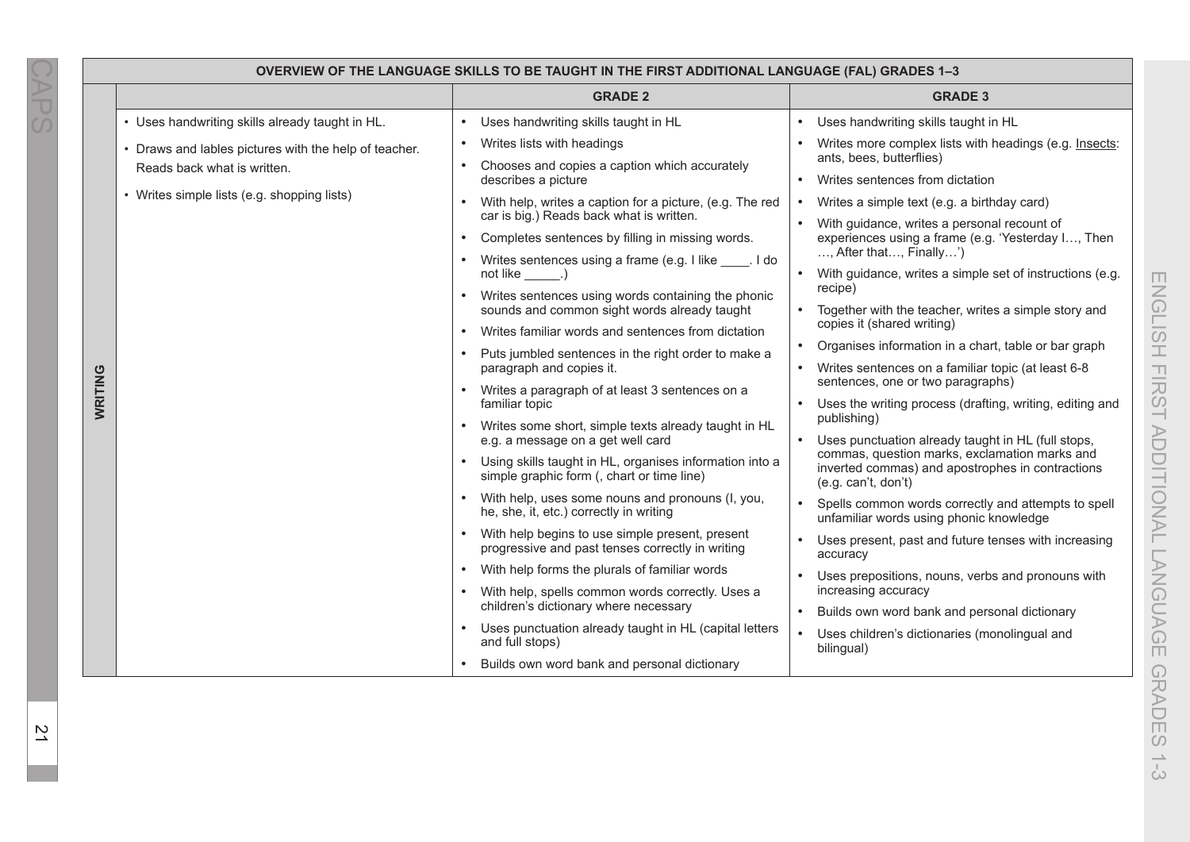|  | OVERVIEW OF THE LANGUAGE SKILLS TO BE TAUGHT IN THE FIRST ADDITIONAL LANGUAGE (FAL) GRADES 1-3 |                                                                                                                        |                                                                                                                          |  |  |  |
|--|------------------------------------------------------------------------------------------------|------------------------------------------------------------------------------------------------------------------------|--------------------------------------------------------------------------------------------------------------------------|--|--|--|
|  |                                                                                                | <b>GRADE 2</b>                                                                                                         | <b>GRADE 3</b>                                                                                                           |  |  |  |
|  | • Uses handwriting skills already taught in HL.                                                | Uses handwriting skills taught in HL                                                                                   | Uses handwriting skills taught in HL<br>$\bullet$                                                                        |  |  |  |
|  | • Draws and lables pictures with the help of teacher.                                          | Writes lists with headings                                                                                             | Writes more complex lists with headings (e.g. Insects:                                                                   |  |  |  |
|  | Reads back what is written.                                                                    | Chooses and copies a caption which accurately<br>describes a picture                                                   | ants, bees, butterflies)<br>Writes sentences from dictation                                                              |  |  |  |
|  | • Writes simple lists (e.g. shopping lists)                                                    | With help, writes a caption for a picture, (e.g. The red<br>car is big.) Reads back what is written.                   | Writes a simple text (e.g. a birthday card)                                                                              |  |  |  |
|  |                                                                                                |                                                                                                                        | With guidance, writes a personal recount of                                                                              |  |  |  |
|  |                                                                                                | Completes sentences by filling in missing words.                                                                       | experiences using a frame (e.g. 'Yesterday I, Then<br>, After that, Finally')                                            |  |  |  |
|  |                                                                                                | Writes sentences using a frame (e.g. I like I do<br>not like (1)                                                       | With guidance, writes a simple set of instructions (e.g.                                                                 |  |  |  |
|  |                                                                                                | Writes sentences using words containing the phonic                                                                     | recipe)                                                                                                                  |  |  |  |
|  |                                                                                                | sounds and common sight words already taught                                                                           | Together with the teacher, writes a simple story and<br>copies it (shared writing)                                       |  |  |  |
|  |                                                                                                | Writes familiar words and sentences from dictation<br>$\bullet$<br>Puts jumbled sentences in the right order to make a | Organises information in a chart, table or bar graph                                                                     |  |  |  |
|  | WRITING                                                                                        | paragraph and copies it.                                                                                               | Writes sentences on a familiar topic (at least 6-8<br>$\bullet$                                                          |  |  |  |
|  |                                                                                                | Writes a paragraph of at least 3 sentences on a                                                                        | sentences, one or two paragraphs)                                                                                        |  |  |  |
|  |                                                                                                | familiar topic<br>Writes some short, simple texts already taught in HL                                                 | Uses the writing process (drafting, writing, editing and<br>publishing)                                                  |  |  |  |
|  |                                                                                                | e.g. a message on a get well card                                                                                      | Uses punctuation already taught in HL (full stops,                                                                       |  |  |  |
|  |                                                                                                | Using skills taught in HL, organises information into a<br>simple graphic form (, chart or time line)                  | commas, question marks, exclamation marks and<br>inverted commas) and apostrophes in contractions<br>(e.g. can't, don't) |  |  |  |
|  |                                                                                                | With help, uses some nouns and pronouns (I, you,<br>he, she, it, etc.) correctly in writing                            | Spells common words correctly and attempts to spell<br>$\bullet$<br>unfamiliar words using phonic knowledge              |  |  |  |
|  |                                                                                                | With help begins to use simple present, present<br>progressive and past tenses correctly in writing                    | Uses present, past and future tenses with increasing<br>accuracy                                                         |  |  |  |
|  |                                                                                                | With help forms the plurals of familiar words                                                                          | Uses prepositions, nouns, verbs and pronouns with                                                                        |  |  |  |
|  |                                                                                                | With help, spells common words correctly. Uses a<br>$\bullet$<br>children's dictionary where necessary                 | increasing accuracy<br>Builds own word bank and personal dictionary                                                      |  |  |  |
|  |                                                                                                | Uses punctuation already taught in HL (capital letters<br>and full stops)                                              | Uses children's dictionaries (monolingual and<br>bilingual)                                                              |  |  |  |
|  |                                                                                                | Builds own word bank and personal dictionary                                                                           |                                                                                                                          |  |  |  |